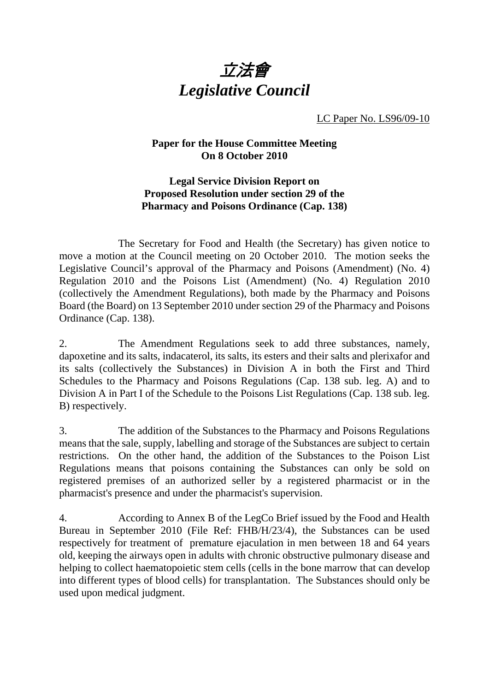

LC Paper No. LS96/09-10

## **Paper for the House Committee Meeting On 8 October 2010**

## **Legal Service Division Report on Proposed Resolution under section 29 of the Pharmacy and Poisons Ordinance (Cap. 138)**

 The Secretary for Food and Health (the Secretary) has given notice to move a motion at the Council meeting on 20 October 2010. The motion seeks the Legislative Council's approval of the Pharmacy and Poisons (Amendment) (No. 4) Regulation 2010 and the Poisons List (Amendment) (No. 4) Regulation 2010 (collectively the Amendment Regulations), both made by the Pharmacy and Poisons Board (the Board) on 13 September 2010 under section 29 of the Pharmacy and Poisons Ordinance (Cap. 138).

2. The Amendment Regulations seek to add three substances, namely, dapoxetine and its salts, indacaterol, its salts, its esters and their salts and plerixafor and its salts (collectively the Substances) in Division A in both the First and Third Schedules to the Pharmacy and Poisons Regulations (Cap. 138 sub. leg. A) and to Division A in Part I of the Schedule to the Poisons List Regulations (Cap. 138 sub. leg. B) respectively.

3. The addition of the Substances to the Pharmacy and Poisons Regulations means that the sale, supply, labelling and storage of the Substances are subject to certain restrictions. On the other hand, the addition of the Substances to the Poison List Regulations means that poisons containing the Substances can only be sold on registered premises of an authorized seller by a registered pharmacist or in the pharmacist's presence and under the pharmacist's supervision.

4. According to Annex B of the LegCo Brief issued by the Food and Health Bureau in September 2010 (File Ref: FHB/H/23/4), the Substances can be used respectively for treatment of premature ejaculation in men between 18 and 64 years old, keeping the airways open in adults with chronic obstructive pulmonary disease and helping to collect haematopoietic stem cells (cells in the bone marrow that can develop into different types of blood cells) for transplantation. The Substances should only be used upon medical judgment.